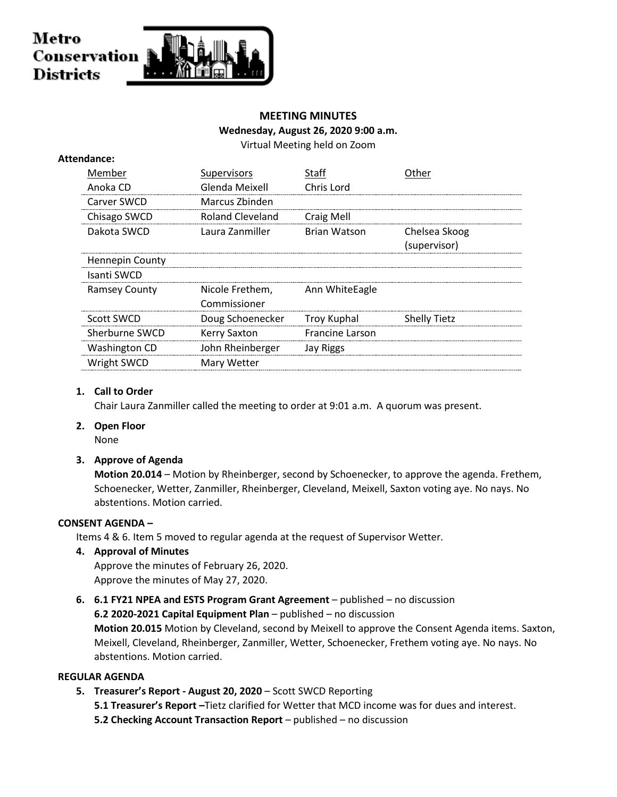## Metro Conservation **Districts**

#### **MEETING MINUTES**

#### **Wednesday, August 26, 2020 9:00 a.m.**

Virtual Meeting held on Zoom

|  | Attendance:            |                     |                        |                     |
|--|------------------------|---------------------|------------------------|---------------------|
|  | Member                 | Supervisors         | Staff                  | Other               |
|  | Anoka CD               | Glenda Meixell      | Chris Lord             |                     |
|  | Carver SWCD            | Marcus Zbinden      |                        |                     |
|  | Chisago SWCD           | Roland Cleveland    | <b>Craig Mell</b>      |                     |
|  | Dakota SWCD            | Laura Zanmiller     | <b>Brian Watson</b>    | Chelsea Skoog       |
|  |                        |                     |                        | (supervisor)        |
|  | <b>Hennepin County</b> |                     |                        |                     |
|  | Isanti SWCD            |                     |                        |                     |
|  | <b>Ramsey County</b>   | Nicole Frethem,     | Ann WhiteEagle         |                     |
|  |                        | Commissioner        |                        |                     |
|  | Scott SWCD             | Doug Schoenecker    | Troy Kuphal            | <b>Shelly Tietz</b> |
|  | Sherburne SWCD         | <b>Kerry Saxton</b> | <b>Francine Larson</b> |                     |
|  | <b>Washington CD</b>   | John Rheinberger    | Jay Riggs              |                     |
|  | Wright SWCD            | Mary Wetter         |                        |                     |
|  |                        |                     |                        |                     |

#### **1. Call to Order**

Chair Laura Zanmiller called the meeting to order at 9:01 a.m. A quorum was present.

**2. Open Floor**

None

#### **3. Approve of Agenda**

**Motion 20.014** – Motion by Rheinberger, second by Schoenecker, to approve the agenda. Frethem, Schoenecker, Wetter, Zanmiller, Rheinberger, Cleveland, Meixell, Saxton voting aye. No nays. No abstentions. Motion carried.

#### **CONSENT AGENDA –**

Items 4 & 6. Item 5 moved to regular agenda at the request of Supervisor Wetter.

#### **4. Approval of Minutes**

Approve the minutes of February 26, 2020. Approve the minutes of May 27, 2020.

**6. 6.1 FY21 NPEA and ESTS Program Grant Agreement** – published – no discussion **6.2 2020-2021 Capital Equipment Plan** – published – no discussion

**Motion 20.015** Motion by Cleveland, second by Meixell to approve the Consent Agenda items. Saxton, Meixell, Cleveland, Rheinberger, Zanmiller, Wetter, Schoenecker, Frethem voting aye. No nays. No abstentions. Motion carried.

#### **REGULAR AGENDA**

- **5. Treasurer's Report - August 20, 2020**  Scott SWCD Reporting
	- **5.1 Treasurer's Report –**Tietz clarified for Wetter that MCD income was for dues and interest.
	- **5.2 Checking Account Transaction Report**  published no discussion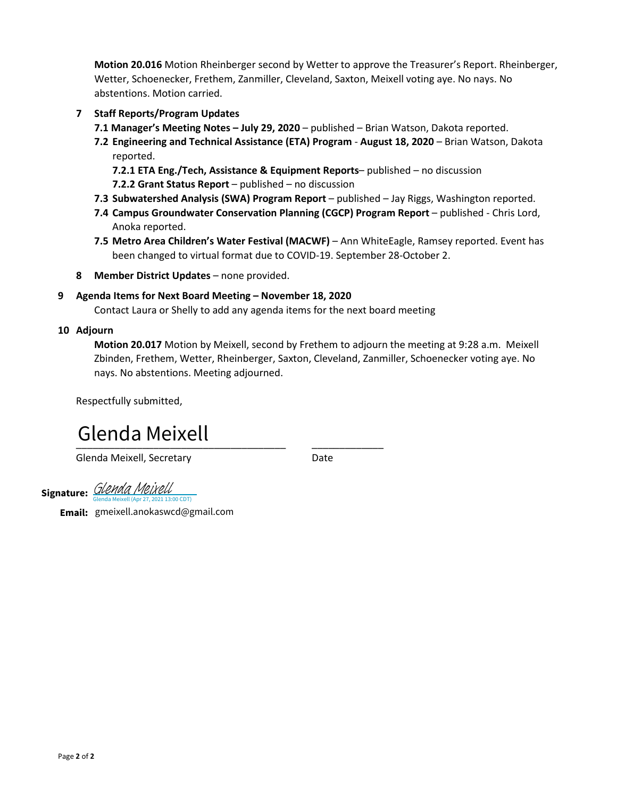**Motion 20.016** Motion Rheinberger second by Wetter to approve the Treasurer's Report. Rheinberger, Wetter, Schoenecker, Frethem, Zanmiller, Cleveland, Saxton, Meixell voting aye. No nays. No abstentions. Motion carried.

- **7 Staff Reports/Program Updates**
	- **7.1 Manager's Meeting Notes – July 29, 2020** published Brian Watson, Dakota reported.
	- **7.2 Engineering and Technical Assistance (ETA) Program August 18, 2020**  Brian Watson, Dakota reported.

**7.2.1 ETA Eng./Tech, Assistance & Equipment Reports**– published – no discussion **7.2.2 Grant Status Report** – published – no discussion

- **7.3 Subwatershed Analysis (SWA) Program Report**  published Jay Riggs, Washington reported.
- **7.4 Campus Groundwater Conservation Planning (CGCP) Program Report** published Chris Lord, Anoka reported.
- **7.5 Metro Area Children's Water Festival (MACWF)** Ann WhiteEagle, Ramsey reported. Event has been changed to virtual format due to COVID-19. September 28-October 2.
- **8 Member District Updates** none provided.

#### **9 Agenda Items for Next Board Meeting – November 18, 2020**

Contact Laura or Shelly to add any agenda items for the next board meeting

#### **10 Adjourn**

**Motion 20.017** Motion by Meixell, second by Frethem to adjourn the meeting at 9:28 a.m. Meixell Zbinden, Frethem, Wetter, Rheinberger, Saxton, Cleveland, Zanmiller, Schoenecker voting aye. No nays. No abstentions. Meeting adjourned.

Respectfully submitted,

### <u>otenaa memett</u> Glenda Meixell

Glenda Meixell, Secretary **Date** 

**Signature:** *GIPPINA PIPIXCI*<br>
Glenda Meixell (Apr 27, 2021 13:00 CDT) [Glenda Meixell](https://na2.documents.adobe.com/verifier?tx=CBJCHBCAABAAfrDKx3G6SDBBoDmEN1xs-L6CEKumGaxP)

**Email:** gmeixell.anokaswcd@gmail.com